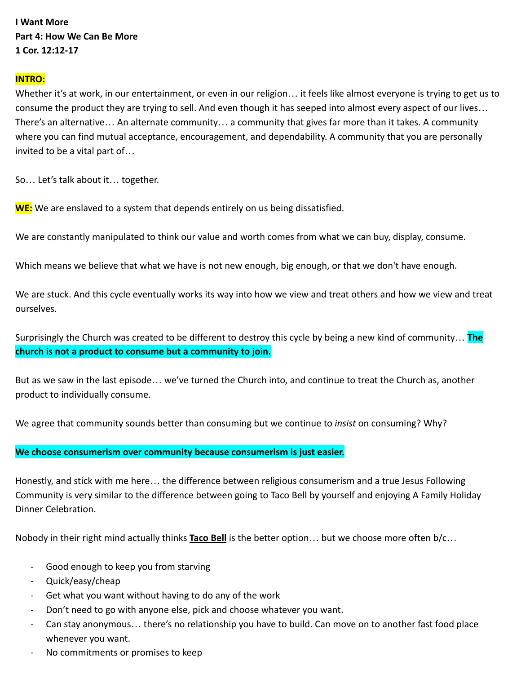# **I Want More Part 4: How We Can Be More 1 Cor. 12:12-17**

### **INTRO:**

Whether it's at work, in our entertainment, or even in our religion… it feels like almost everyone is trying to get us to consume the product they are trying to sell. And even though it has seeped into almost every aspect of our lives… There's an alternative… An alternate community… a community that gives far more than it takes. A community where you can find mutual acceptance, encouragement, and dependability. A community that you are personally invited to be a vital part of…

So… Let's talk about it… together.

**WE:** We are enslaved to a system that depends entirely on us being dissatisfied.

We are constantly manipulated to think our value and worth comes from what we can buy, display, consume.

Which means we believe that what we have is not new enough, big enough, or that we don't have enough.

We are stuck. And this cycle eventually works its way into how we view and treat others and how we view and treat ourselves.

Surprisingly the Church was created to be different to destroy this cycle by being a new kind of community… **The church is not a product to consume but a community to join.**

But as we saw in the last episode… we've turned the Church into, and continue to treat the Church as, another product to individually consume.

We agree that community sounds better than consuming but we continue to *insist* on consuming? Why?

#### **We choose consumerism over community because consumerism is just easier.**

Honestly, and stick with me here… the difference between religious consumerism and a true Jesus Following Community is very similar to the difference between going to Taco Bell by yourself and enjoying A Family Holiday Dinner Celebration.

Nobody in their right mind actually thinks **Taco Bell** is the better option… but we choose more often b/c…

- Good enough to keep you from starving
- Quick/easy/cheap
- Get what you want without having to do any of the work
- Don't need to go with anyone else, pick and choose whatever you want.
- Can stay anonymous… there's no relationship you have to build. Can move on to another fast food place whenever you want.
- No commitments or promises to keep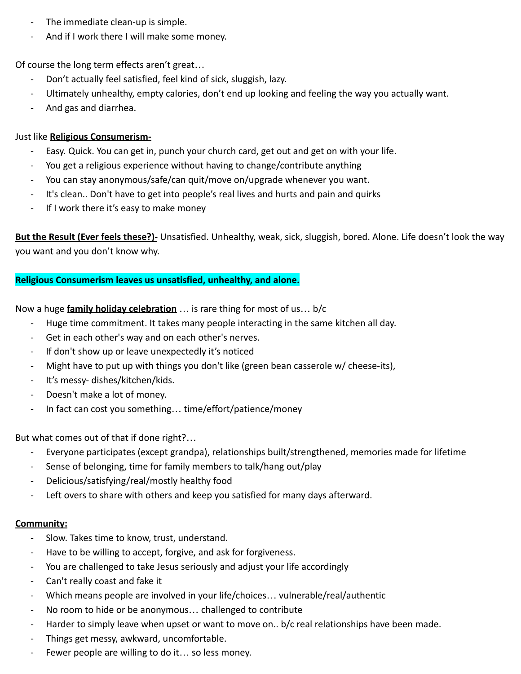- The immediate clean-up is simple.
- And if I work there I will make some money.

Of course the long term effects aren't great…

- Don't actually feel satisfied, feel kind of sick, sluggish, lazy.
- Ultimately unhealthy, empty calories, don't end up looking and feeling the way you actually want.
- And gas and diarrhea.

## Just like **Religious Consumerism-**

- Easy. Quick. You can get in, punch your church card, get out and get on with your life.
- You get a religious experience without having to change/contribute anything
- You can stay anonymous/safe/can quit/move on/upgrade whenever you want.
- It's clean.. Don't have to get into people's real lives and hurts and pain and quirks
- If I work there it's easy to make money

**But the Result (Ever feels these?)-** Unsatisfied. Unhealthy, weak, sick, sluggish, bored. Alone. Life doesn't look the way you want and you don't know why.

# **Religious Consumerism leaves us unsatisfied, unhealthy, and alone.**

Now a huge **family holiday celebration** … is rare thing for most of us… b/c

- Huge time commitment. It takes many people interacting in the same kitchen all day.
- Get in each other's way and on each other's nerves.
- If don't show up or leave unexpectedly it's noticed
- Might have to put up with things you don't like (green bean casserole w/ cheese-its),
- It's messy- dishes/kitchen/kids.
- Doesn't make a lot of money.
- In fact can cost you something... time/effort/patience/money

But what comes out of that if done right?…

- Everyone participates (except grandpa), relationships built/strengthened, memories made for lifetime
- Sense of belonging, time for family members to talk/hang out/play
- Delicious/satisfying/real/mostly healthy food
- Left overs to share with others and keep you satisfied for many days afterward.

## **Community:**

- Slow. Takes time to know, trust, understand.
- Have to be willing to accept, forgive, and ask for forgiveness.
- You are challenged to take Jesus seriously and adjust your life accordingly
- Can't really coast and fake it
- Which means people are involved in your life/choices... vulnerable/real/authentic
- No room to hide or be anonymous... challenged to contribute
- Harder to simply leave when upset or want to move on.. b/c real relationships have been made.
- Things get messy, awkward, uncomfortable.
- Fewer people are willing to do it... so less money.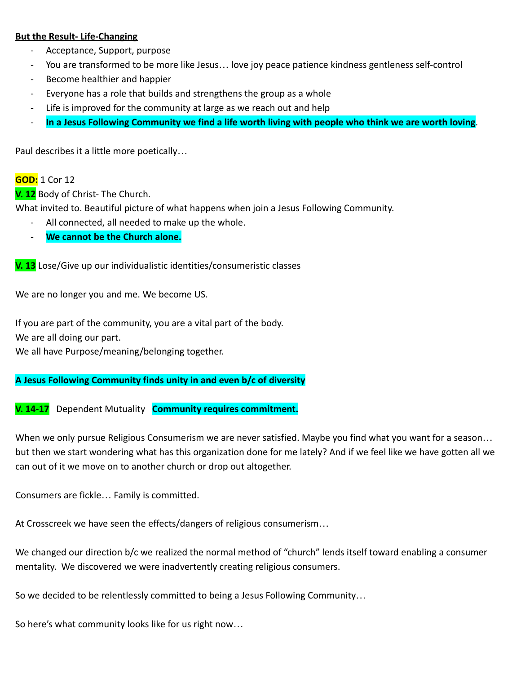### **But the Result- Life-Changing**

- Acceptance, Support, purpose
- You are transformed to be more like Jesus... love joy peace patience kindness gentleness self-control
- Become healthier and happier
- Everyone has a role that builds and strengthens the group as a whole
- Life is improved for the community at large as we reach out and help
- **In a Jesus Following Community we find a life worth living with people who think we are worth loving**.

Paul describes it a little more poetically…

### **GOD:** 1 Cor 12

**V. 12** Body of Christ- The Church.

What invited to. Beautiful picture of what happens when join a Jesus Following Community.

- All connected, all needed to make up the whole.
- **We cannot be the Church alone.**

**V. 13** Lose/Give up our individualistic identities/consumeristic classes

We are no longer you and me. We become US.

If you are part of the community, you are a vital part of the body.

We are all doing our part.

We all have Purpose/meaning/belonging together.

### **A Jesus Following Community finds unity in and even b/c of diversity**

**V. 14-17** Dependent Mutuality **Community requires commitment.**

When we only pursue Religious Consumerism we are never satisfied. Maybe you find what you want for a season… but then we start wondering what has this organization done for me lately? And if we feel like we have gotten all we can out of it we move on to another church or drop out altogether.

Consumers are fickle… Family is committed.

At Crosscreek we have seen the effects/dangers of religious consumerism…

We changed our direction b/c we realized the normal method of "church" lends itself toward enabling a consumer mentality. We discovered we were inadvertently creating religious consumers.

So we decided to be relentlessly committed to being a Jesus Following Community…

So here's what community looks like for us right now…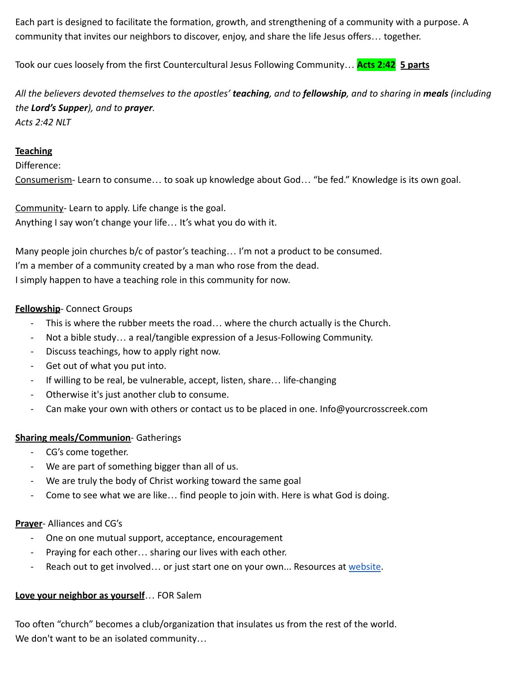Each part is designed to facilitate the formation, growth, and strengthening of a community with a purpose. A community that invites our neighbors to discover, enjoy, and share the life Jesus offers… together.

Took our cues loosely from the first Countercultural Jesus Following Community… **Acts 2:42 5 parts**

*All the believers devoted themselves to the apostles' teaching, and to fellowship, and to sharing in meals (including the Lord's Supper), and to prayer. Acts 2:42 NLT*

### **Teaching**

Difference:

Consumerism- Learn to consume… to soak up knowledge about God… "be fed." Knowledge is its own goal.

Community- Learn to apply. Life change is the goal. Anything I say won't change your life… It's what you do with it.

Many people join churches b/c of pastor's teaching… I'm not a product to be consumed. I'm a member of a community created by a man who rose from the dead. I simply happen to have a teaching role in this community for now.

## **Fellowship**- Connect Groups

- This is where the rubber meets the road... where the church actually is the Church.
- Not a bible study… a real/tangible expression of a Jesus-Following Community.
- Discuss teachings, how to apply right now.
- Get out of what you put into.
- If willing to be real, be vulnerable, accept, listen, share… life-changing
- Otherwise it's just another club to consume.
- Can make your own with others or contact us to be placed in one. Info@yourcrosscreek.com

## **Sharing meals/Communion**- Gatherings

- CG's come together.
- We are part of something bigger than all of us.
- We are truly the body of Christ working toward the same goal
- Come to see what we are like… find people to join with. Here is what God is doing.

## **Prayer**- Alliances and CG's

- One on one mutual support, acceptance, encouragement
- Praying for each other… sharing our lives with each other.
- Reach out to get involved... or just start one on your own... Resources at [website.](http://www.yourcrosscreek.com)

## **Love your neighbor as yourself**… FOR Salem

Too often "church" becomes a club/organization that insulates us from the rest of the world. We don't want to be an isolated community…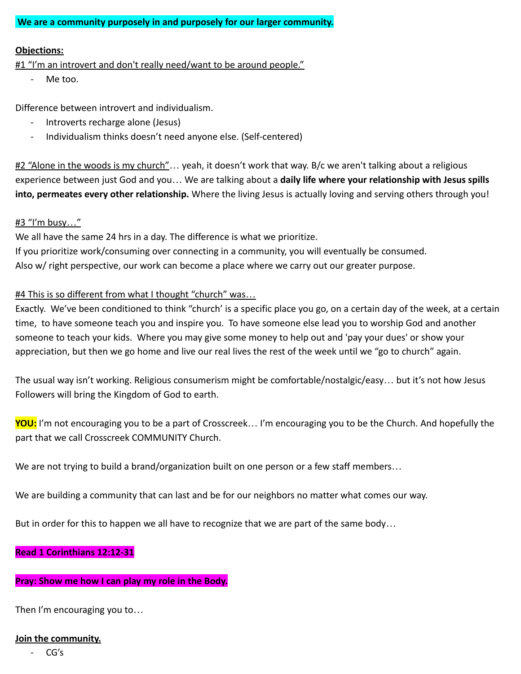**We are a community purposely in and purposely for our larger community.**

#### **Objections:**

#1 "I'm an introvert and don't really need/want to be around people."

- Me too.

Difference between introvert and individualism.

- Introverts recharge alone (Jesus)
- Individualism thinks doesn't need anyone else. (Self-centered)

#2 "Alone in the woods is my church"... yeah, it doesn't work that way. B/c we aren't talking about a religious experience between just God and you… We are talking about a **daily life where your relationship with Jesus spills into, permeates every other relationship.** Where the living Jesus is actually loving and serving others through you!

### #3 "I'm busy…"

We all have the same 24 hrs in a day. The difference is what we prioritize. If you prioritize work/consuming over connecting in a community, you will eventually be consumed. Also w/ right perspective, our work can become a place where we carry out our greater purpose.

### #4 This is so different from what I thought "church" was…

Exactly. We've been conditioned to think "church' is a specific place you go, on a certain day of the week, at a certain time, to have someone teach you and inspire you. To have someone else lead you to worship God and another someone to teach your kids. Where you may give some money to help out and 'pay your dues' or show your appreciation, but then we go home and live our real lives the rest of the week until we "go to church" again.

The usual way isn't working. Religious consumerism might be comfortable/nostalgic/easy… but it's not how Jesus Followers will bring the Kingdom of God to earth.

**YOU:** I'm not encouraging you to be a part of Crosscreek… I'm encouraging you to be the Church. And hopefully the part that we call Crosscreek COMMUNITY Church.

We are not trying to build a brand/organization built on one person or a few staff members...

We are building a community that can last and be for our neighbors no matter what comes our way.

But in order for this to happen we all have to recognize that we are part of the same body…

### **Read 1 Corinthians 12:12-31**

# **Pray: Show me how I can play my role in the Body.**

Then I'm encouraging you to…

# **Join the community.**

- CG's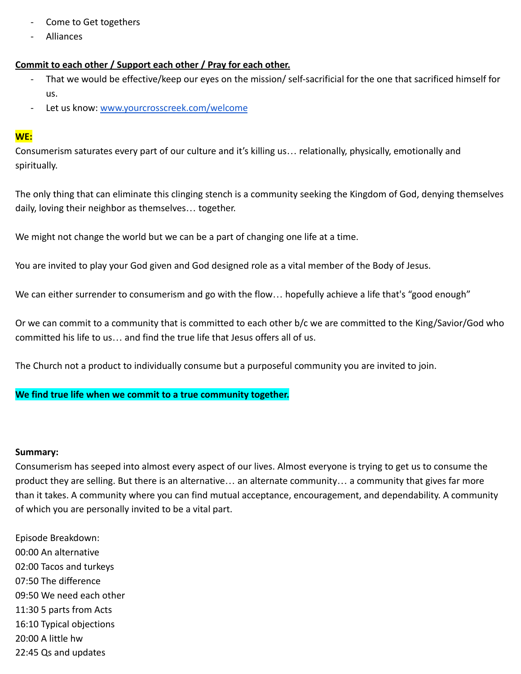- Come to Get togethers
- Alliances

# **Commit to each other / Support each other / Pray for each other.**

- That we would be effective/keep our eyes on the mission/ self-sacrificial for the one that sacrificed himself for us.
- Let us know: [www.yourcrosscreek.com/welcome](http://www.yourcrosscreek.com/welcome)

### **WE:**

Consumerism saturates every part of our culture and it's killing us… relationally, physically, emotionally and spiritually.

The only thing that can eliminate this clinging stench is a community seeking the Kingdom of God, denying themselves daily, loving their neighbor as themselves… together.

We might not change the world but we can be a part of changing one life at a time.

You are invited to play your God given and God designed role as a vital member of the Body of Jesus.

We can either surrender to consumerism and go with the flow... hopefully achieve a life that's "good enough"

Or we can commit to a community that is committed to each other b/c we are committed to the King/Savior/God who committed his life to us… and find the true life that Jesus offers all of us.

The Church not a product to individually consume but a purposeful community you are invited to join.

## **We find true life when we commit to a true community together.**

#### **Summary:**

Consumerism has seeped into almost every aspect of our lives. Almost everyone is trying to get us to consume the product they are selling. But there is an alternative… an alternate community… a community that gives far more than it takes. A community where you can find mutual acceptance, encouragement, and dependability. A community of which you are personally invited to be a vital part.

Episode Breakdown: 00:00 An alternative 02:00 Tacos and turkeys 07:50 The difference 09:50 We need each other 11:30 5 parts from Acts 16:10 Typical objections 20:00 A little hw 22:45 Qs and updates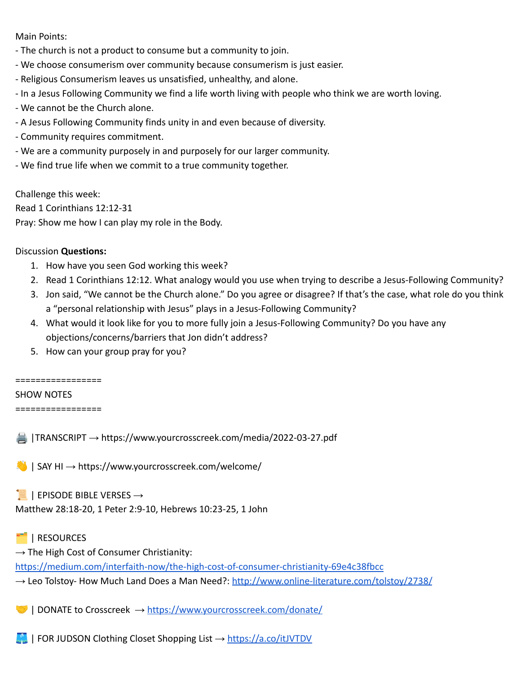Main Points:

- The church is not a product to consume but a community to join.
- We choose consumerism over community because consumerism is just easier.
- Religious Consumerism leaves us unsatisfied, unhealthy, and alone.
- In a Jesus Following Community we find a life worth living with people who think we are worth loving.
- We cannot be the Church alone.
- A Jesus Following Community finds unity in and even because of diversity.
- Community requires commitment.
- We are a community purposely in and purposely for our larger community.
- We find true life when we commit to a true community together.

Challenge this week: Read 1 Corinthians 12:12-31 Pray: Show me how I can play my role in the Body.

#### Discussion **Questions:**

- 1. How have you seen God working this week?
- 2. Read 1 Corinthians 12:12. What analogy would you use when trying to describe a Jesus-Following Community?
- 3. Jon said, "We cannot be the Church alone." Do you agree or disagree? If that's the case, what role do you think a "personal relationship with Jesus" plays in a Jesus-Following Community?
- 4. What would it look like for you to more fully join a Jesus-Following Community? Do you have any objections/concerns/barriers that Jon didn't address?
- 5. How can your group pray for you?

=================

#### SHOW NOTES

=================

|TRANSCRIPT → https://www.yourcrosscreek.com/media/2022-03-27.pdf

 $\Box$  | SAY HI  $\rightarrow$  https://www.yourcrosscreek.com/welcome/

 $\parallel$  | EPISODE BIBLE VERSES  $\rightarrow$ 

Matthew 28:18-20, 1 Peter 2:9-10, Hebrews 10:23-25, 1 John

## | RESOURCES

 $\rightarrow$  The High Cost of Consumer Christianity:

<https://medium.com/interfaith-now/the-high-cost-of-consumer-christianity-69e4c38fbcc>

 $\rightarrow$  Leo Tolstoy- How Much Land Does a Man Need?: <http://www.online-literature.com/tolstoy/2738/>

| DONATE to Crosscreek → <https://www.yourcrosscreek.com/donate/>

 $\blacksquare$  | FOR JUDSON Clothing Closet Shopping List  $\rightarrow$  <https://a.co/itJVTDV>